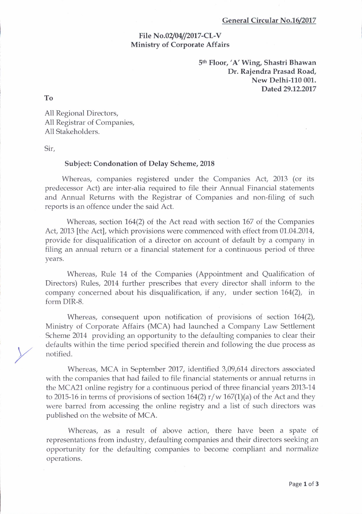## General Circular No.16/2017

## File No.02/04//2017-CL-V Ministry of Corporate Affairs

Sth Floor, 'A' Wing, Shastri Bhawan Dr. Rajendra Prasad Road, New Delhi-110 001. Dated29.12.2017

To

All Regional Directors, All Registrar of Companies, All Stakeholders.

Sir,

## Subject: Condonation of Delay Scheme, 2018

Whereas, companies registered under the Companies Act, 2013 (or its predecessor Act) are inter-alia required to file their Annual Financial statements and Annual Returns with the Registrar of Companies and non-filing of such reports is an offence under the said Act.

Whereas, section 164(2) of the Act read with section 167 of the Companies Act,2013 [the Act], which provisions were commenced with effect from 01.04.2014, provide for disqualification of a director on account of default by a company in filing an annual return or a financial statement for a continuous period of three years.

Whereas, Rule 14 of the Companies (Appointment and Qualification of Directors) Rules, 2014 further prescribes that every director shall inform to the company concerned about his disqualification, if any, under section  $164(2)$ , in form DIR-8.

Whereas, consequent upon notification of provisions of section 164(2), Ministry of Corporate Affairs (MCA) had launched a Company Law Settlement Scheme 2014 providing an opportunity to the defaulting companies to clear their defaults within the time period specified therein and following the due process as notified.

\fhereas, MCA in September 2017, identified 3,09,614 directors associated with the companies that had failed to file financial statements or annual returns in the MCA21 online registry for a continuous period of three financial years 2013-14 to 2015-16 in terms of provisions of section 164(2)  $r/w 167(1)(a)$  of the Act and they were barred from accessing the online registry and a list of such directors was published on the website of MCA.

Whereas, as a result of above action, there have been a spate of representations from industry, defaulting companies and their directors seeking an opportunity for the defaulting companies to become compliant and normalize operations.